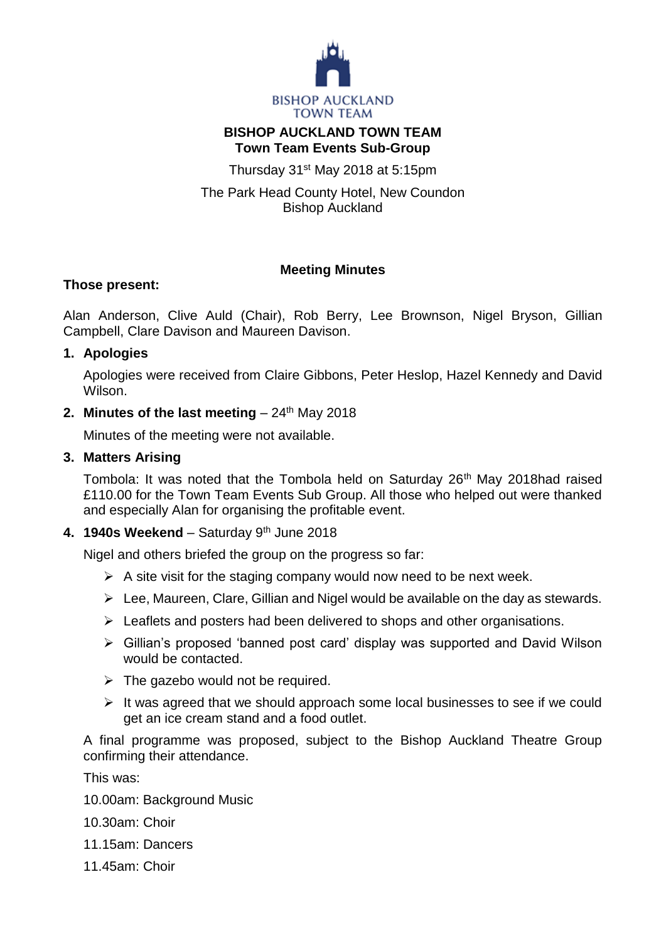

## **BISHOP AUCKLAND TOWN TEAM Town Team Events Sub-Group**

Thursday 31st May 2018 at 5:15pm

The Park Head County Hotel, New Coundon Bishop Auckland

# **Meeting Minutes**

## **Those present:**

Alan Anderson, Clive Auld (Chair), Rob Berry, Lee Brownson, Nigel Bryson, Gillian Campbell, Clare Davison and Maureen Davison.

### **1. Apologies**

Apologies were received from Claire Gibbons, Peter Heslop, Hazel Kennedy and David Wilson.

## **2. Minutes of the last meeting**  $-24$ <sup>th</sup> May 2018

Minutes of the meeting were not available.

### **3. Matters Arising**

Tombola: It was noted that the Tombola held on Saturday 26<sup>th</sup> May 2018had raised £110.00 for the Town Team Events Sub Group. All those who helped out were thanked and especially Alan for organising the profitable event.

## **4. 1940s Weekend** – Saturday 9th June 2018

Nigel and others briefed the group on the progress so far:

- $\triangleright$  A site visit for the staging company would now need to be next week.
- $\triangleright$  Lee, Maureen, Clare, Gillian and Nigel would be available on the day as stewards.
- $\triangleright$  Leaflets and posters had been delivered to shops and other organisations.
- Gillian's proposed 'banned post card' display was supported and David Wilson would be contacted.
- $\triangleright$  The gazebo would not be required.
- $\triangleright$  It was agreed that we should approach some local businesses to see if we could get an ice cream stand and a food outlet.

A final programme was proposed, subject to the Bishop Auckland Theatre Group confirming their attendance.

This was:

- 10.00am: Background Music
- 10.30am: Choir
- 11.15am: Dancers
- 11.45am: Choir